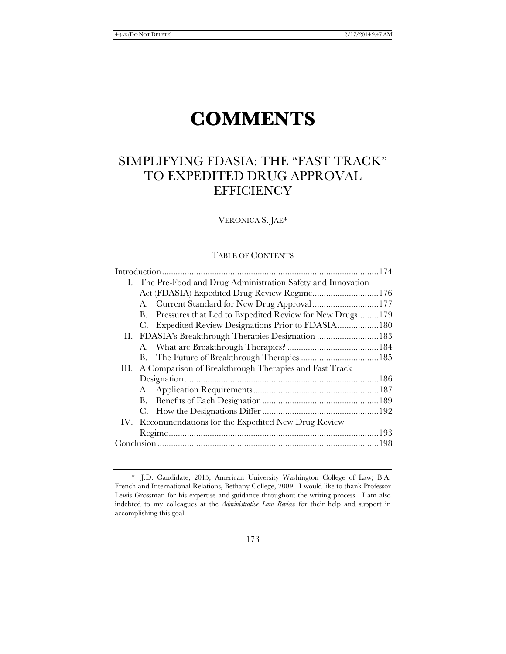# **COMMENTS**

# SIMPLIFYING FDASIA: THE "FAST TRACK" TO EXPEDITED DRUG APPROVAL **EFFICIENCY**

VERONICA S. JAE\*

# TABLE OF CONTENTS

|  | I. The Pre-Food and Drug Administration Safety and Innovation |  |
|--|---------------------------------------------------------------|--|
|  | Act (FDASIA) Expedited Drug Review Regime 176                 |  |
|  | A. Current Standard for New Drug Approval 177                 |  |
|  | Pressures that Led to Expedited Review for New Drugs179<br>В. |  |
|  | C. Expedited Review Designations Prior to FDASIA180           |  |
|  | II. FDASIA's Breakthrough Therapies Designation 183           |  |
|  |                                                               |  |
|  |                                                               |  |
|  | III. A Comparison of Breakthrough Therapies and Fast Track    |  |
|  |                                                               |  |
|  |                                                               |  |
|  |                                                               |  |
|  |                                                               |  |
|  | IV. Recommendations for the Expedited New Drug Review         |  |
|  |                                                               |  |
|  |                                                               |  |
|  |                                                               |  |

 <sup>\*</sup> J.D. Candidate, 2015, American University Washington College of Law; B.A. French and International Relations, Bethany College, 2009. I would like to thank Professor Lewis Grossman for his expertise and guidance throughout the writing process. I am also indebted to my colleagues at the *Administrative Law Review* for their help and support in accomplishing this goal.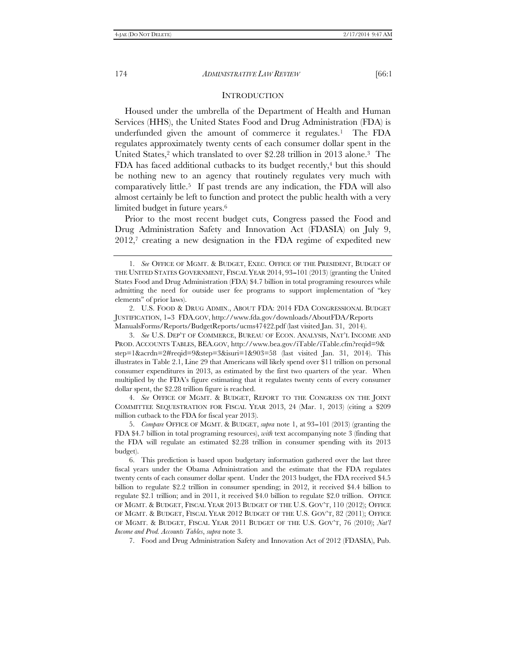#### **INTRODUCTION**

Housed under the umbrella of the Department of Health and Human Services (HHS), the United States Food and Drug Administration (FDA) is underfunded given the amount of commerce it regulates.1 The FDA regulates approximately twenty cents of each consumer dollar spent in the United States,<sup>2</sup> which translated to over \$2.28 trillion in 2013 alone.<sup>3</sup> The FDA has faced additional cutbacks to its budget recently, $\frac{4}{3}$  but this should be nothing new to an agency that routinely regulates very much with comparatively little.5 If past trends are any indication, the FDA will also almost certainly be left to function and protect the public health with a very limited budget in future years.<sup>6</sup>

Prior to the most recent budget cuts, Congress passed the Food and Drug Administration Safety and Innovation Act (FDASIA) on July 9,  $2012$ ,<sup>7</sup> creating a new designation in the FDA regime of expedited new

 2. U.S. FOOD & DRUG ADMIN., ABOUT FDA: 2014 FDA CONGRESSIONAL BUDGET JUSTIFICATION, 1-3 FDA.GOV, http://www.fda.gov/downloads/AboutFDA/Reports ManualsForms/Reports/BudgetReports/ucms47422.pdf (last visited Jan. 31, 2014).

 3. *See* U.S. DEP'T OF COMMERCE, BUREAU OF ECON. ANALYSIS, NAT'L INCOME AND PROD. ACCOUNTS TABLES, BEA.GOV, http://www.bea.gov/iTable/iTable.cfm?reqid=9& step=1&acrdn=2#reqid=9&step=3&isuri=1&903=58 (last visited Jan. 31, 2014). This illustrates in Table 2.1, Line 29 that Americans will likely spend over \$11 trillion on personal consumer expenditures in 2013, as estimated by the first two quarters of the year. When multiplied by the FDA's figure estimating that it regulates twenty cents of every consumer dollar spent, the \$2.28 trillion figure is reached.

 4. *See* OFFICE OF MGMT. & BUDGET, REPORT TO THE CONGRESS ON THE JOINT COMMITTEE SEQUESTRATION FOR FISCAL YEAR 2013, 24 (Mar. 1, 2013) (citing a \$209 million cutback to the FDA for fiscal year 2013).

 5. *Compare* OFFICE OF MGMT. & BUDGET, *supra* note 1, at 93--101 (2013) (granting the FDA \$4.7 billion in total programing resources), *with* text accompanying note 3 (finding that the FDA will regulate an estimated \$2.28 trillion in consumer spending with its 2013 budget).

 6. This prediction is based upon budgetary information gathered over the last three fiscal years under the Obama Administration and the estimate that the FDA regulates twenty cents of each consumer dollar spent. Under the 2013 budget, the FDA received \$4.5 billion to regulate \$2.2 trillion in consumer spending; in 2012, it received \$4.4 billion to regulate \$2.1 trillion; and in 2011, it received \$4.0 billion to regulate \$2.0 trillion. OFFICE OF MGMT. & BUDGET, FISCAL YEAR 2013 BUDGET OF THE U.S. GOV'T, 110 (2012); OFFICE OF MGMT. & BUDGET, FISCAL YEAR 2012 BUDGET OF THE U.S. GOV'T, 82 (2011); OFFICE OF MGMT. & BUDGET, FISCAL YEAR 2011 BUDGET OF THE U.S. GOV'T, 76 (2010); *Nat'l Income and Prod. Accounts Tables*, *supra* note 3.

7. Food and Drug Administration Safety and Innovation Act of 2012 (FDASIA), Pub.

 <sup>1.</sup> *See* OFFICE OF MGMT. & BUDGET, EXEC. OFFICE OF THE PRESIDENT, BUDGET OF THE UNITED STATES GOVERNMENT, FISCAL YEAR 2014, 93--101 (2013) (granting the United States Food and Drug Administration (FDA) \$4.7 billion in total programing resources while admitting the need for outside user fee programs to support implementation of ''key elements'' of prior laws).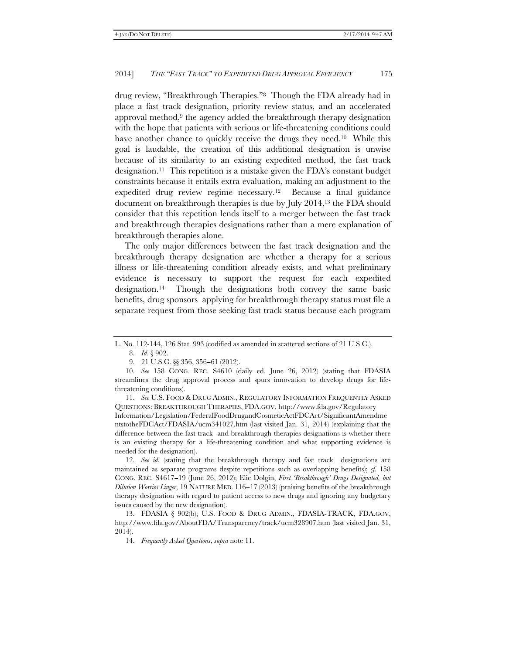drug review, "Breakthrough Therapies."<sup>8</sup> Though the FDA already had in place a fast track designation, priority review status, and an accelerated approval method,<sup>9</sup> the agency added the breakthrough therapy designation with the hope that patients with serious or life-threatening conditions could have another chance to quickly receive the drugs they need.<sup>10</sup> While this goal is laudable, the creation of this additional designation is unwise because of its similarity to an existing expedited method, the fast track designation.11 This repetition is a mistake given the FDA's constant budget constraints because it entails extra evaluation, making an adjustment to the expedited drug review regime necessary.12 Because a final guidance document on breakthrough therapies is due by July 2014,13 the FDA should consider that this repetition lends itself to a merger between the fast track and breakthrough therapies designations rather than a mere explanation of breakthrough therapies alone.

The only major differences between the fast track designation and the breakthrough therapy designation are whether a therapy for a serious illness or life-threatening condition already exists, and what preliminary evidence is necessary to support the request for each expedited designation.14 Though the designations both convey the same basic benefits, drug sponsors applying for breakthrough therapy status must file a separate request from those seeking fast track status because each program

L. No. 112-144, 126 Stat. 993 (codified as amended in scattered sections of 21 U.S.C.).

 <sup>8.</sup> *Id.* § 902.

<sup>9. 21</sup> U.S.C.  $\&$  356, 356-61 (2012).

 <sup>10.</sup> *See* 158 CONG. REC. S4610 (daily ed. June 26, 2012) (stating that FDASIA streamlines the drug approval process and spurs innovation to develop drugs for lifethreatening conditions).

 <sup>11.</sup> *See* U.S. FOOD & DRUG ADMIN., REGULATORY INFORMATION FREQUENTLY ASKED QUESTIONS: BREAKTHROUGH THERAPIES, FDA.GOV, http://www.fda.gov/Regulatory Information/Legislation/FederalFoodDrugandCosmeticActFDCAct/SignificantAmendme ntstotheFDCAct/FDASIA/ucm341027.htm (last visited Jan. 31, 2014) (explaining that the difference between the fast track and breakthrough therapies designations is whether there is an existing therapy for a life-threatening condition and what supporting evidence is needed for the designation).

 <sup>12.</sup> *See id.* (stating that the breakthrough therapy and fast track designations are maintained as separate programs despite repetitions such as overlapping benefits); *cf.* 158 CONG. REC. S4617-19 (June 26, 2012); Elie Dolgin, *First 'Breakthrough' Drugs Designated, but Dilution Worries Linger*, 19 NATURE MED. 116–17 (2013) (praising benefits of the breakthrough therapy designation with regard to patient access to new drugs and ignoring any budgetary issues caused by the new designation).

 <sup>13.</sup> FDASIA § 902(b); U.S. FOOD & DRUG ADMIN., FDASIA-TRACK, FDA.GOV, http://www.fda.gov/AboutFDA/Transparency/track/ucm328907.htm (last visited Jan. 31, 2014).

 <sup>14.</sup> *Frequently Asked Questions*, *supra* note 11.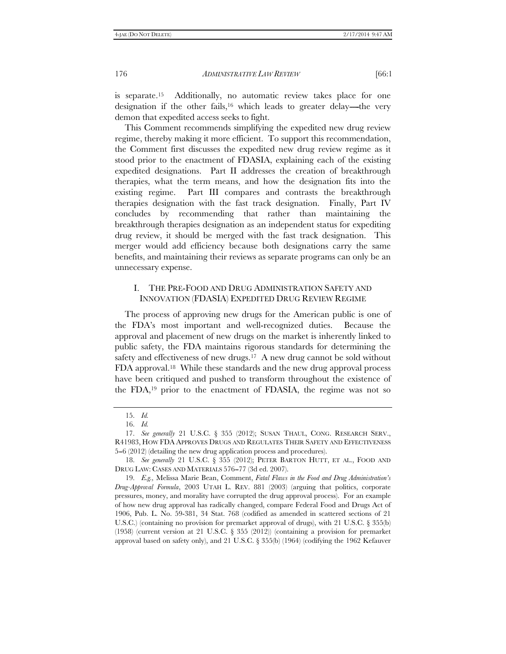is separate.15 Additionally, no automatic review takes place for one designation if the other fails,<sup>16</sup> which leads to greater delay—the very demon that expedited access seeks to fight.

This Comment recommends simplifying the expedited new drug review regime, thereby making it more efficient. To support this recommendation, the Comment first discusses the expedited new drug review regime as it stood prior to the enactment of FDASIA, explaining each of the existing expedited designations. Part II addresses the creation of breakthrough therapies, what the term means, and how the designation fits into the existing regime. Part III compares and contrasts the breakthrough therapies designation with the fast track designation. Finally, Part IV concludes by recommending that rather than maintaining the breakthrough therapies designation as an independent status for expediting drug review, it should be merged with the fast track designation. This merger would add efficiency because both designations carry the same benefits, and maintaining their reviews as separate programs can only be an unnecessary expense.

## I. THE PRE-FOOD AND DRUG ADMINISTRATION SAFETY AND INNOVATION (FDASIA) EXPEDITED DRUG REVIEW REGIME

The process of approving new drugs for the American public is one of the FDA's most important and well-recognized duties. Because the approval and placement of new drugs on the market is inherently linked to public safety, the FDA maintains rigorous standards for determining the safety and effectiveness of new drugs.<sup>17</sup> A new drug cannot be sold without FDA approval.18 While these standards and the new drug approval process have been critiqued and pushed to transform throughout the existence of the FDA,19 prior to the enactment of FDASIA, the regime was not so

 <sup>15.</sup> *Id.*

 <sup>16.</sup> *Id.* 

 <sup>17.</sup> *See generally* 21 U.S.C. § 355 (2012); SUSAN THAUL, CONG. RESEARCH SERV., R41983, HOW FDA APPROVES DRUGS AND REGULATES THEIR SAFETY AND EFFECTIVENESS 5–6 (2012) (detailing the new drug application process and procedures).

 <sup>18.</sup> *See generally* 21 U.S.C. § 355 (2012); PETER BARTON HUTT, ET AL., FOOD AND DRUG LAW: CASES AND MATERIALS 576-77 (3d ed. 2007).

 <sup>19.</sup> *E.g.,* Melissa Marie Bean, Comment, *Fatal Flaws in the Food and Drug Administration's Drug-Approval Formula*, 2003 UTAH L. REV. 881 (2003) (arguing that politics, corporate pressures, money, and morality have corrupted the drug approval process). For an example of how new drug approval has radically changed, compare Federal Food and Drugs Act of 1906, Pub. L. No. 59-381, 34 Stat. 768 (codified as amended in scattered sections of 21 U.S.C.) (containing no provision for premarket approval of drugs), with 21 U.S.C. § 355(b) (1958) (current version at 21 U.S.C. § 355 (2012)) (containing a provision for premarket approval based on safety only), and 21 U.S.C. § 355(b) (1964) (codifying the 1962 Kefauver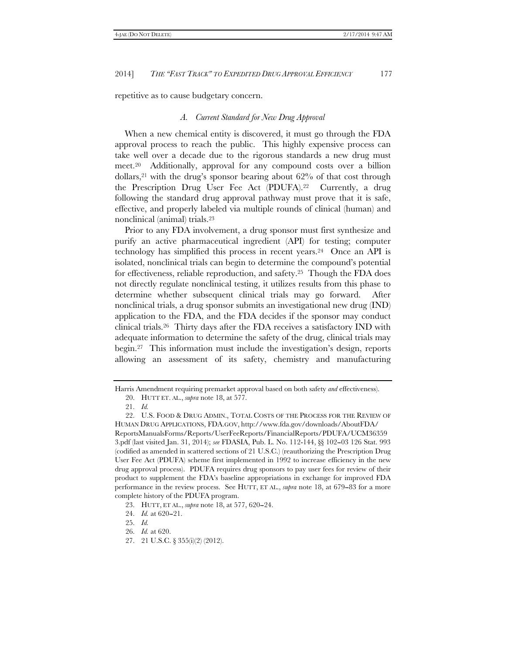repetitive as to cause budgetary concern.

#### *A. Current Standard for New Drug Approval*

When a new chemical entity is discovered, it must go through the FDA approval process to reach the public. This highly expensive process can take well over a decade due to the rigorous standards a new drug must meet.20 Additionally, approval for any compound costs over a billion dollars,<sup>21</sup> with the drug's sponsor bearing about  $62\%$  of that cost through the Prescription Drug User Fee Act (PDUFA).22 Currently, a drug following the standard drug approval pathway must prove that it is safe, effective, and properly labeled via multiple rounds of clinical (human) and nonclinical (animal) trials.23

Prior to any FDA involvement, a drug sponsor must first synthesize and purify an active pharmaceutical ingredient (API) for testing; computer technology has simplified this process in recent years.24 Once an API is isolated, nonclinical trials can begin to determine the compound's potential for effectiveness, reliable reproduction, and safety.25 Though the FDA does not directly regulate nonclinical testing, it utilizes results from this phase to determine whether subsequent clinical trials may go forward. After nonclinical trials, a drug sponsor submits an investigational new drug (IND) application to the FDA, and the FDA decides if the sponsor may conduct clinical trials.26 Thirty days after the FDA receives a satisfactory IND with adequate information to determine the safety of the drug, clinical trials may begin.27 This information must include the investigation's design, reports allowing an assessment of its safety, chemistry and manufacturing

Harris Amendment requiring premarket approval based on both safety *and* effectiveness).

 <sup>20.</sup> HUTT ET. AL., *supra* note 18, at 577.

 <sup>21.</sup> *Id.*

 <sup>22.</sup> U.S. FOOD & DRUG ADMIN., TOTAL COSTS OF THE PROCESS FOR THE REVIEW OF HUMAN DRUG APPLICATIONS, FDA.GOV, http://www.fda.gov/downloads/AboutFDA/ ReportsManualsForms/Reports/UserFeeReports/FinancialReports/PDUFA/UCM36359 3.pdf (last visited Jan. 31, 2014); *see* FDASIA, Pub. L. No. 112-144, §§ 102--03 126 Stat. 993 (codified as amended in scattered sections of 21 U.S.C.) (reauthorizing the Prescription Drug User Fee Act (PDUFA) scheme first implemented in 1992 to increase efficiency in the new drug approval process). PDUFA requires drug sponsors to pay user fees for review of their product to supplement the FDA's baseline appropriations in exchange for improved FDA performance in the review process. See HUTT, ET AL., *supra* note 18, at 679--83 for a more complete history of the PDUFA program.

<sup>23.</sup> HUTT, ET AL., *supra* note 18, at 577, 620–24.

<sup>24.</sup> *Id.* at 620-21.

 <sup>25.</sup> *Id.*

 <sup>26.</sup> *Id.* at 620.

 <sup>27. 21</sup> U.S.C. § 355(i)(2) (2012).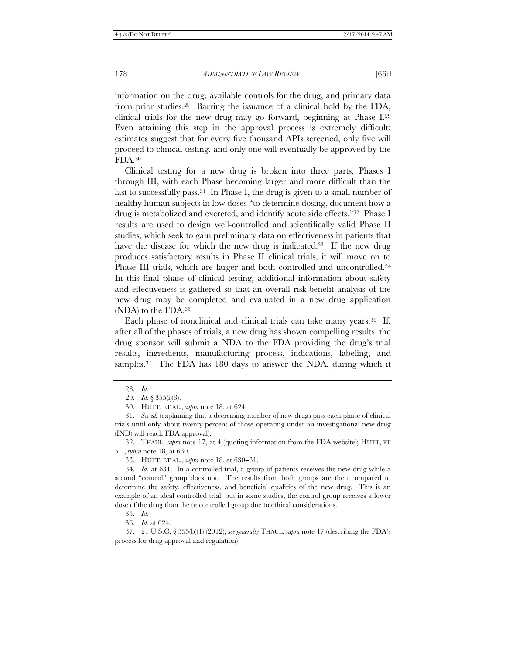information on the drug, available controls for the drug, and primary data from prior studies.28 Barring the issuance of a clinical hold by the FDA, clinical trials for the new drug may go forward, beginning at Phase I.29 Even attaining this step in the approval process is extremely difficult; estimates suggest that for every five thousand APIs screened, only five will proceed to clinical testing, and only one will eventually be approved by the FDA.30

Clinical testing for a new drug is broken into three parts, Phases I through III, with each Phase becoming larger and more difficult than the last to successfully pass.<sup>31</sup> In Phase I, the drug is given to a small number of healthy human subjects in low doses ''to determine dosing, document how a drug is metabolized and excreted, and identify acute side effects.''32 Phase I results are used to design well-controlled and scientifically valid Phase II studies, which seek to gain preliminary data on effectiveness in patients that have the disease for which the new drug is indicated.<sup>33</sup> If the new drug produces satisfactory results in Phase II clinical trials, it will move on to Phase III trials, which are larger and both controlled and uncontrolled.<sup>34</sup> In this final phase of clinical testing, additional information about safety and effectiveness is gathered so that an overall risk-benefit analysis of the new drug may be completed and evaluated in a new drug application (NDA) to the FDA.35

Each phase of nonclinical and clinical trials can take many years.<sup>36</sup> If, after all of the phases of trials, a new drug has shown compelling results, the drug sponsor will submit a NDA to the FDA providing the drug's trial results, ingredients, manufacturing process, indications, labeling, and samples.<sup>37</sup> The FDA has 180 days to answer the NDA, during which it

33. HUTT, ET AL., *supra* note 18, at 630--31.

35. *Id.*

36. *Id.* at 624.

 37. 21 U.S.C. § 355(b)(1) (2012); *see generally* THAUL, *supra* note 17 (describing the FDA's process for drug approval and regulation).

 <sup>28.</sup> *Id.* 

 <sup>29.</sup> *Id.* § 355(i)(3).

 <sup>30.</sup> HUTT, ET AL., *supra* note 18, at 624.

 <sup>31.</sup> *See id.* (explaining that a decreasing number of new drugs pass each phase of clinical trials until only about twenty percent of those operating under an investigational new drug (IND) will reach FDA approval).

 <sup>32.</sup> THAUL, *supra* note 17, at 4 (quoting information from the FDA website); HUTT, ET AL., *supra* note 18, at 630.

 <sup>34.</sup> *Id.* at 631. In a controlled trial, a group of patients receives the new drug while a second "control" group does not. The results from both groups are then compared to determine the safety, effectiveness, and beneficial qualities of the new drug. This is an example of an ideal controlled trial, but in some studies, the control group receives a lower dose of the drug than the uncontrolled group due to ethical considerations.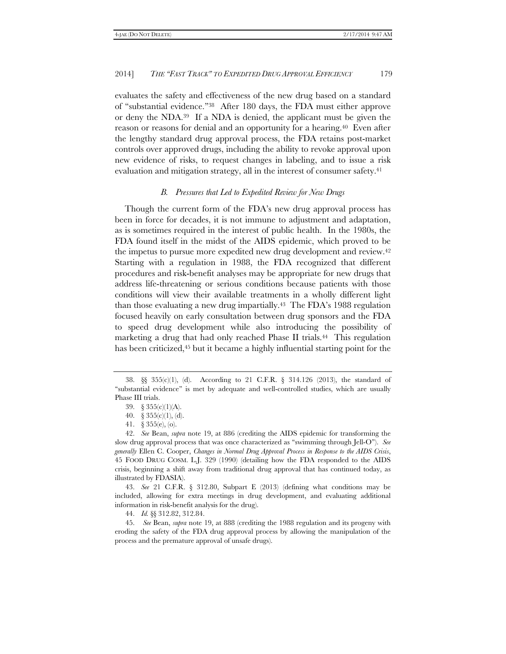evaluates the safety and effectiveness of the new drug based on a standard of ''substantial evidence.''38 After 180 days, the FDA must either approve or deny the NDA.39 If a NDA is denied, the applicant must be given the reason or reasons for denial and an opportunity for a hearing.40 Even after the lengthy standard drug approval process, the FDA retains post-market controls over approved drugs, including the ability to revoke approval upon new evidence of risks, to request changes in labeling, and to issue a risk evaluation and mitigation strategy, all in the interest of consumer safety.<sup>41</sup>

#### *B. Pressures that Led to Expedited Review for New Drugs*

Though the current form of the FDA's new drug approval process has been in force for decades, it is not immune to adjustment and adaptation, as is sometimes required in the interest of public health. In the 1980s, the FDA found itself in the midst of the AIDS epidemic, which proved to be the impetus to pursue more expedited new drug development and review.42 Starting with a regulation in 1988, the FDA recognized that different procedures and risk-benefit analyses may be appropriate for new drugs that address life-threatening or serious conditions because patients with those conditions will view their available treatments in a wholly different light than those evaluating a new drug impartially.43 The FDA's 1988 regulation focused heavily on early consultation between drug sponsors and the FDA to speed drug development while also introducing the possibility of marketing a drug that had only reached Phase II trials.44 This regulation has been criticized,<sup>45</sup> but it became a highly influential starting point for the

 <sup>38. §§ 355(</sup>c)(1), (d). According to 21 C.F.R. § 314.126 (2013), the standard of ''substantial evidence'' is met by adequate and well-controlled studies, which are usually Phase III trials.

<sup>39.</sup>  $§ 355(c)(1)(A)$ .

<sup>40.</sup>  $\S 355(c)(1)$ , (d).

 <sup>41. § 355(</sup>e), (o).

 <sup>42.</sup> *See* Bean, *supra* note 19, at 886 (crediting the AIDS epidemic for transforming the slow drug approval process that was once characterized as ''swimming through Jell-O''). *See generally* Ellen C. Cooper, *Changes in Normal Drug Approval Process in Response to the AIDS Crisis*, 45 FOOD DRUG COSM. L.J. 329 (1990) (detailing how the FDA responded to the AIDS crisis, beginning a shift away from traditional drug approval that has continued today, as illustrated by FDASIA).

 <sup>43.</sup> *See* 21 C.F.R. § 312.80, Subpart E (2013) (defining what conditions may be included, allowing for extra meetings in drug development, and evaluating additional information in risk-benefit analysis for the drug).

 <sup>44.</sup> *Id.* §§ 312.82, 312.84.

 <sup>45.</sup> *See* Bean, *supra* note 19, at 888 (crediting the 1988 regulation and its progeny with eroding the safety of the FDA drug approval process by allowing the manipulation of the process and the premature approval of unsafe drugs).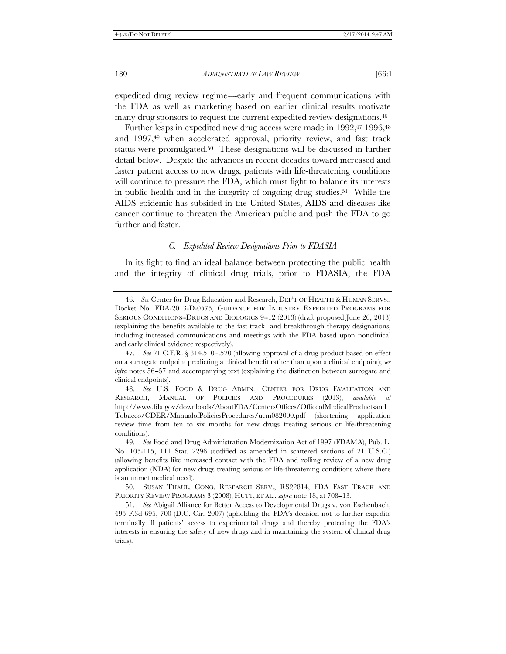expedited drug review regime—early and frequent communications with the FDA as well as marketing based on earlier clinical results motivate many drug sponsors to request the current expedited review designations.46

Further leaps in expedited new drug access were made in 1992,<sup>47</sup> 1996,<sup>48</sup> and 1997,<sup>49</sup> when accelerated approval, priority review, and fast track status were promulgated.50 These designations will be discussed in further detail below. Despite the advances in recent decades toward increased and faster patient access to new drugs, patients with life-threatening conditions will continue to pressure the FDA, which must fight to balance its interests in public health and in the integrity of ongoing drug studies.51 While the AIDS epidemic has subsided in the United States, AIDS and diseases like cancer continue to threaten the American public and push the FDA to go further and faster.

#### *C. Expedited Review Designations Prior to FDASIA*

In its fight to find an ideal balance between protecting the public health and the integrity of clinical drug trials, prior to FDASIA, the FDA

 <sup>46.</sup> *See* Center for Drug Education and Research, DEP'T OF HEALTH & HUMAN SERVS., Docket No. FDA-2013-D-0575, GUIDANCE FOR INDUSTRY EXPEDITED PROGRAMS FOR SERIOUS CONDITIONS-DRUGS AND BIOLOGICS 9-12 (2013) (draft proposed June 26, 2013) (explaining the benefits available to the fast track and breakthrough therapy designations, including increased communications and meetings with the FDA based upon nonclinical and early clinical evidence respectively).

<sup>47.</sup> *See* 21 C.F.R. § 314.510-.520 (allowing approval of a drug product based on effect on a surrogate endpoint predicting a clinical benefit rather than upon a clinical endpoint); *see infra* notes 56–57 and accompanying text (explaining the distinction between surrogate and clinical endpoints).

 <sup>48.</sup> *See* U.S. FOOD & DRUG ADMIN., CENTER FOR DRUG EVALUATION AND RESEARCH, MANUAL OF POLICIES AND PROCEDURES (2013), *available at* http://www.fda.gov/downloads/AboutFDA/CentersOffices/OfficeofMedicalProductsand Tobacco/CDER/ManualofPoliciesProcedures/ucm082000.pdf (shortening application review time from ten to six months for new drugs treating serious or life-threatening conditions).

 <sup>49.</sup> *See* Food and Drug Administration Modernization Act of 1997 (FDAMA), Pub. L. No. 105-115, 111 Stat. 2296 (codified as amended in scattered sections of 21 U.S.C.) (allowing benefits like increased contact with the FDA and rolling review of a new drug application (NDA) for new drugs treating serious or life-threatening conditions where there is an unmet medical need).

 <sup>50.</sup> SUSAN THAUL, CONG. RESEARCH SERV., RS22814, FDA FAST TRACK AND PRIORITY REVIEW PROGRAMS 3 (2008); HUTT, ET AL., *supra* note 18, at 708-13.

 <sup>51.</sup> *See* Abigail Alliance for Better Access to Developmental Drugs v. von Eschenbach, 495 F.3d 695, 700 (D.C. Cir. 2007) (upholding the FDA's decision not to further expedite terminally ill patients' access to experimental drugs and thereby protecting the FDA's interests in ensuring the safety of new drugs and in maintaining the system of clinical drug trials).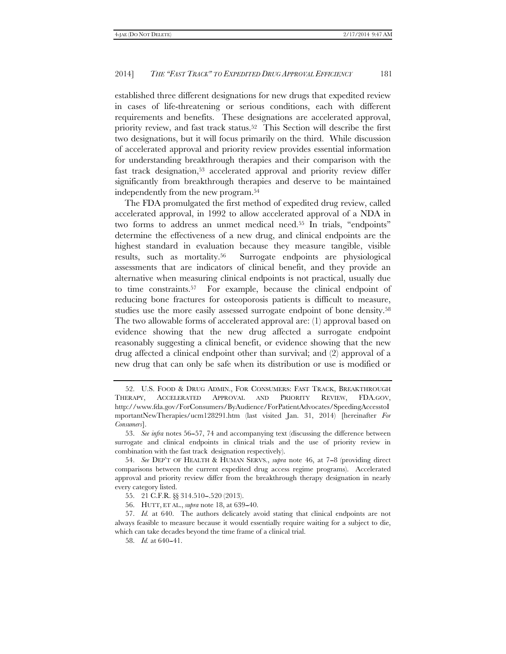established three different designations for new drugs that expedited review in cases of life-threatening or serious conditions, each with different requirements and benefits. These designations are accelerated approval, priority review, and fast track status.52 This Section will describe the first two designations, but it will focus primarily on the third. While discussion of accelerated approval and priority review provides essential information for understanding breakthrough therapies and their comparison with the fast track designation,53 accelerated approval and priority review differ significantly from breakthrough therapies and deserve to be maintained independently from the new program.54

The FDA promulgated the first method of expedited drug review, called accelerated approval, in 1992 to allow accelerated approval of a NDA in two forms to address an unmet medical need.<sup>55</sup> In trials, "endpoints" determine the effectiveness of a new drug, and clinical endpoints are the highest standard in evaluation because they measure tangible, visible results, such as mortality.56 Surrogate endpoints are physiological assessments that are indicators of clinical benefit, and they provide an alternative when measuring clinical endpoints is not practical, usually due to time constraints.57 For example, because the clinical endpoint of reducing bone fractures for osteoporosis patients is difficult to measure, studies use the more easily assessed surrogate endpoint of bone density.<sup>58</sup> The two allowable forms of accelerated approval are: (1) approval based on evidence showing that the new drug affected a surrogate endpoint reasonably suggesting a clinical benefit, or evidence showing that the new drug affected a clinical endpoint other than survival; and (2) approval of a new drug that can only be safe when its distribution or use is modified or

 <sup>52.</sup> U.S. FOOD & DRUG ADMIN., FOR CONSUMERS: FAST TRACK, BREAKTHROUGH THERAPY, ACCELERATED APPROVAL AND PRIORITY REVIEW, FDA.GOV, http://www.fda.gov/ForConsumers/ByAudience/ForPatientAdvocates/SpeedingAccesstoI mportantNewTherapies/ucm128291.htm (last visited Jan. 31, 2014) [hereinafter *For Consumers*].

 <sup>53.</sup> *See infra* notes 56--57, 74 and accompanying text (discussing the difference between surrogate and clinical endpoints in clinical trials and the use of priority review in combination with the fast track designation respectively).

<sup>54.</sup> See DEP'T OF HEALTH & HUMAN SERVS., *supra* note 46, at 7–8 (providing direct comparisons between the current expedited drug access regime programs). Accelerated approval and priority review differ from the breakthrough therapy designation in nearly every category listed.

 <sup>55. 21</sup> C.F.R. §§ 314.510--.520 (2013).

 <sup>56.</sup> HUTT, ET AL., *supra* note 18, at 639--40.

 <sup>57.</sup> *Id.* at 640. The authors delicately avoid stating that clinical endpoints are not always feasible to measure because it would essentially require waiting for a subject to die, which can take decades beyond the time frame of a clinical trial.

<sup>58.</sup> *Id.* at 640-41.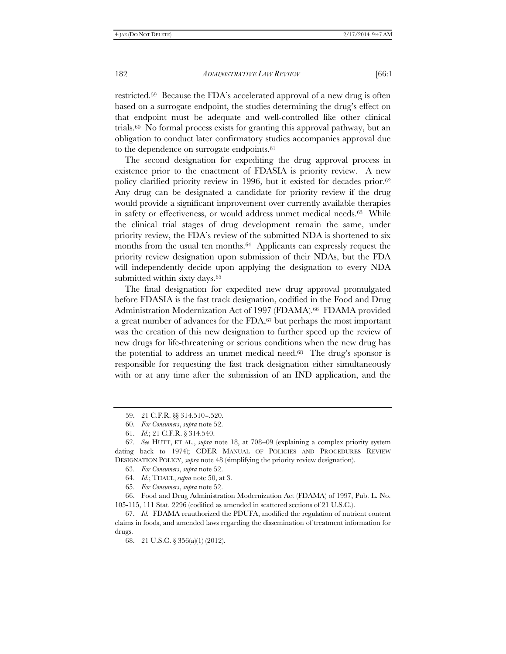restricted.59 Because the FDA's accelerated approval of a new drug is often based on a surrogate endpoint, the studies determining the drug's effect on that endpoint must be adequate and well-controlled like other clinical trials.60 No formal process exists for granting this approval pathway, but an obligation to conduct later confirmatory studies accompanies approval due to the dependence on surrogate endpoints.61

The second designation for expediting the drug approval process in existence prior to the enactment of FDASIA is priority review. A new policy clarified priority review in 1996, but it existed for decades prior.62 Any drug can be designated a candidate for priority review if the drug would provide a significant improvement over currently available therapies in safety or effectiveness, or would address unmet medical needs.63 While the clinical trial stages of drug development remain the same, under priority review, the FDA's review of the submitted NDA is shortened to six months from the usual ten months.<sup>64</sup> Applicants can expressly request the priority review designation upon submission of their NDAs, but the FDA will independently decide upon applying the designation to every NDA submitted within sixty days.<sup>65</sup>

The final designation for expedited new drug approval promulgated before FDASIA is the fast track designation, codified in the Food and Drug Administration Modernization Act of 1997 (FDAMA).66 FDAMA provided a great number of advances for the  $FDA<sub>0</sub><sup>67</sup>$  but perhaps the most important was the creation of this new designation to further speed up the review of new drugs for life-threatening or serious conditions when the new drug has the potential to address an unmet medical need.68 The drug's sponsor is responsible for requesting the fast track designation either simultaneously with or at any time after the submission of an IND application, and the

 66. Food and Drug Administration Modernization Act (FDAMA) of 1997, Pub. L. No. 105-115, 111 Stat. 2296 (codified as amended in scattered sections of 21 U.S.C.).

 <sup>59. 21</sup> C.F.R. §§ 314.510--.520.

 <sup>60.</sup> *For Consumers*, *supra* note 52.

 <sup>61.</sup> *Id.*; 21 C.F.R. § 314.540.

 <sup>62.</sup> *See* HUTT, ET AL., *supra* note 18, at 708--09 (explaining a complex priority system dating back to 1974); CDER MANUAL OF POLICIES AND PROCEDURES REVIEW DESIGNATION POLICY, *supra* note 48 (simplifying the priority review designation).

 <sup>63.</sup> *For Consumers*, *supra* note 52.

 <sup>64.</sup> *Id.*; THAUL, *supra* note 50, at 3.

 <sup>65.</sup> *For Consumers*, *supra* note 52.

 <sup>67.</sup> *Id.* FDAMA reauthorized the PDUFA, modified the regulation of nutrient content claims in foods, and amended laws regarding the dissemination of treatment information for drugs.

 <sup>68. 21</sup> U.S.C. § 356(a)(1) (2012).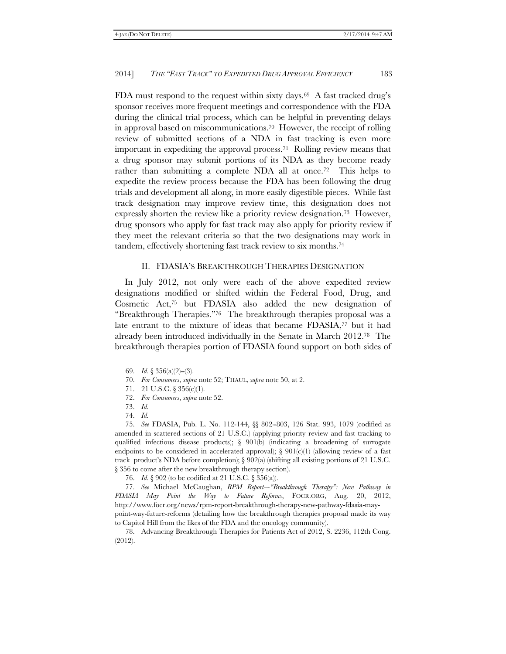FDA must respond to the request within sixty days.<sup>69</sup> A fast tracked drug's sponsor receives more frequent meetings and correspondence with the FDA during the clinical trial process, which can be helpful in preventing delays in approval based on miscommunications.<sup>70</sup> However, the receipt of rolling review of submitted sections of a NDA in fast tracking is even more important in expediting the approval process.71 Rolling review means that a drug sponsor may submit portions of its NDA as they become ready rather than submitting a complete NDA all at once.<sup>72</sup> This helps to expedite the review process because the FDA has been following the drug trials and development all along, in more easily digestible pieces. While fast track designation may improve review time, this designation does not expressly shorten the review like a priority review designation.73 However, drug sponsors who apply for fast track may also apply for priority review if they meet the relevant criteria so that the two designations may work in tandem, effectively shortening fast track review to six months.74

#### II. FDASIA'S BREAKTHROUGH THERAPIES DESIGNATION

In July 2012, not only were each of the above expedited review designations modified or shifted within the Federal Food, Drug, and Cosmetic Act,75 but FDASIA also added the new designation of ''Breakthrough Therapies.''76 The breakthrough therapies proposal was a late entrant to the mixture of ideas that became FDASIA,77 but it had already been introduced individually in the Senate in March 2012.78 The breakthrough therapies portion of FDASIA found support on both sides of

76. *Id.* § 902 (to be codified at 21 U.S.C. § 356(a)).

77. See Michael McCaughan, *RPM Report-"Breakthrough Therapy": New Pathway in FDASIA May Point the Way to Future Reforms*, FOCR.ORG, Aug. 20, 2012, http://www.focr.org/news/rpm-report-breakthrough-therapy-new-pathway-fdasia-maypoint-way-future-reforms (detailing how the breakthrough therapies proposal made its way

to Capitol Hill from the likes of the FDA and the oncology community).

 78. Advancing Breakthrough Therapies for Patients Act of 2012, S. 2236, 112th Cong. (2012).

<sup>69.</sup> *Id.* § 356(a)(2)–(3).

 <sup>70.</sup> *For Consumers*, *supra* note 52; THAUL, *supra* note 50, at 2.

 <sup>71. 21</sup> U.S.C. § 356(c)(1).

 <sup>72.</sup> *For Consumers*, *supra* note 52.

 <sup>73.</sup> *Id.*

 <sup>74.</sup> *Id.*

 <sup>75.</sup> *See* FDASIA, Pub. L. No. 112-144, §§ 802--803, 126 Stat. 993, 1079 (codified as amended in scattered sections of 21 U.S.C.) (applying priority review and fast tracking to qualified infectious disease products);  $\S$  901(b) (indicating a broadening of surrogate endpoints to be considered in accelerated approval);  $\S 901(c)(1)$  (allowing review of a fast track product's NDA before completion);  $\S 902(a)$  (shifting all existing portions of 21 U.S.C. § 356 to come after the new breakthrough therapy section).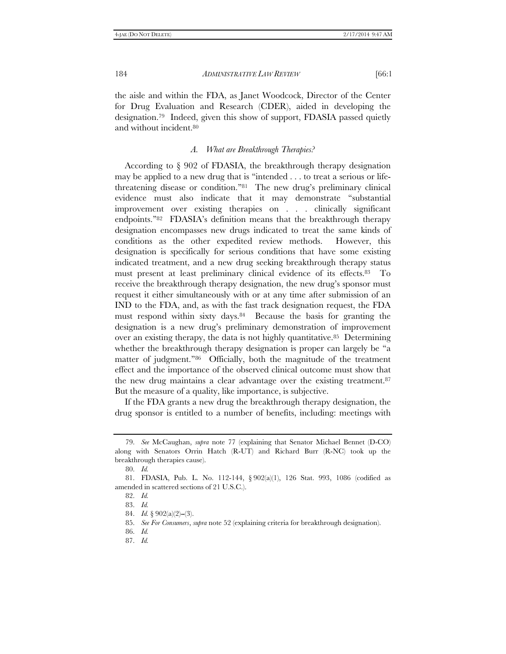the aisle and within the FDA, as Janet Woodcock, Director of the Center for Drug Evaluation and Research (CDER), aided in developing the designation.79 Indeed, given this show of support, FDASIA passed quietly and without incident.80

#### *A. What are Breakthrough Therapies?*

According to § 902 of FDASIA, the breakthrough therapy designation may be applied to a new drug that is ''intended . . . to treat a serious or lifethreatening disease or condition.''81 The new drug's preliminary clinical evidence must also indicate that it may demonstrate ''substantial improvement over existing therapies on . . . clinically significant endpoints.''82 FDASIA's definition means that the breakthrough therapy designation encompasses new drugs indicated to treat the same kinds of conditions as the other expedited review methods. However, this designation is specifically for serious conditions that have some existing indicated treatment, and a new drug seeking breakthrough therapy status must present at least preliminary clinical evidence of its effects.83 To receive the breakthrough therapy designation, the new drug's sponsor must request it either simultaneously with or at any time after submission of an IND to the FDA, and, as with the fast track designation request, the FDA must respond within sixty days.84 Because the basis for granting the designation is a new drug's preliminary demonstration of improvement over an existing therapy, the data is not highly quantitative.85 Determining whether the breakthrough therapy designation is proper can largely be ''a matter of judgment."86 Officially, both the magnitude of the treatment effect and the importance of the observed clinical outcome must show that the new drug maintains a clear advantage over the existing treatment.87 But the measure of a quality, like importance, is subjective.

If the FDA grants a new drug the breakthrough therapy designation, the drug sponsor is entitled to a number of benefits, including: meetings with

 <sup>79.</sup> *See* McCaughan, *supra* note 77 (explaining that Senator Michael Bennet (D-CO) along with Senators Orrin Hatch (R-UT) and Richard Burr (R-NC) took up the breakthrough therapies cause).

 <sup>80.</sup> *Id.*

 <sup>81.</sup> FDASIA, Pub. L. No. 112-144, § 902(a)(1), 126 Stat. 993, 1086 (codified as amended in scattered sections of 21 U.S.C.).

 <sup>82.</sup> *Id.*

 <sup>83.</sup> *Id.*

<sup>84.</sup> *Id.*  $\S$  902(a)(2)–(3).

 <sup>85.</sup> *See For Consumers*, *supra* note 52 (explaining criteria for breakthrough designation).

 <sup>86.</sup> *Id.* 

 <sup>87.</sup> *Id.*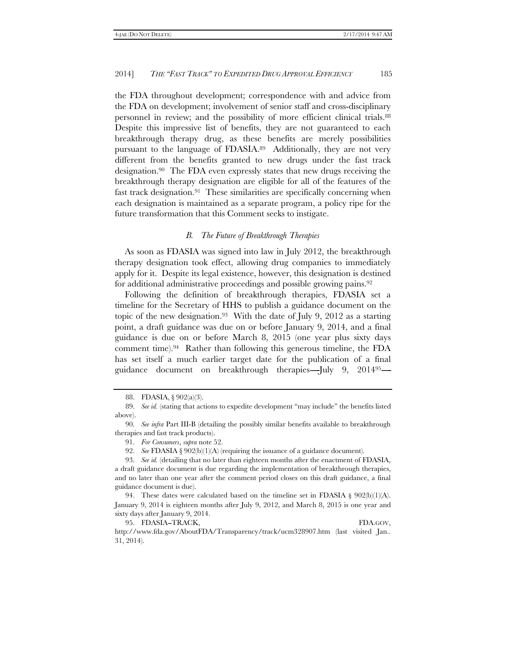the FDA throughout development; correspondence with and advice from the FDA on development; involvement of senior staff and cross-disciplinary personnel in review; and the possibility of more efficient clinical trials.88 Despite this impressive list of benefits, they are not guaranteed to each breakthrough therapy drug, as these benefits are merely possibilities pursuant to the language of FDASIA.89 Additionally, they are not very different from the benefits granted to new drugs under the fast track designation.90 The FDA even expressly states that new drugs receiving the breakthrough therapy designation are eligible for all of the features of the fast track designation.91 These similarities are specifically concerning when each designation is maintained as a separate program, a policy ripe for the future transformation that this Comment seeks to instigate.

#### *B. The Future of Breakthrough Therapies*

As soon as FDASIA was signed into law in July 2012, the breakthrough therapy designation took effect, allowing drug companies to immediately apply for it. Despite its legal existence, however, this designation is destined for additional administrative proceedings and possible growing pains.<sup>92</sup>

Following the definition of breakthrough therapies, FDASIA set a timeline for the Secretary of HHS to publish a guidance document on the topic of the new designation.<sup>93</sup> With the date of July 9, 2012 as a starting point, a draft guidance was due on or before January 9, 2014, and a final guidance is due on or before March 8, 2015 (one year plus sixty days comment time).94 Rather than following this generous timeline, the FDA has set itself a much earlier target date for the publication of a final guidance document on breakthrough therapies-July 9, 201495-

92. *See* FDASIA § 902(b)(1)(A) (requiring the issuance of a guidance document).

95. FDASIA-TRACK, FDA.GOV, http://www.fda.gov/AboutFDA/Transparency/track/ucm328907.htm (last visited Jan.. 31, 2014).

 <sup>88.</sup> FDASIA, § 902(a)(3).

 <sup>89.</sup> *See id.* (stating that actions to expedite development ''may include'' the benefits listed above).

 <sup>90.</sup> *See infra* Part III-B (detailing the possibly similar benefits available to breakthrough therapies and fast track products).

 <sup>91.</sup> *For Consumers*, *supra* note 52.

 <sup>93.</sup> *See id.* (detailing that no later than eighteen months after the enactment of FDASIA, a draft guidance document is due regarding the implementation of breakthrough therapies, and no later than one year after the comment period closes on this draft guidance, a final guidance document is due).

 <sup>94.</sup> These dates were calculated based on the timeline set in FDASIA § 902(b)(1)(A). January 9, 2014 is eighteen months after July 9, 2012, and March 8, 2015 is one year and sixty days after January 9, 2014.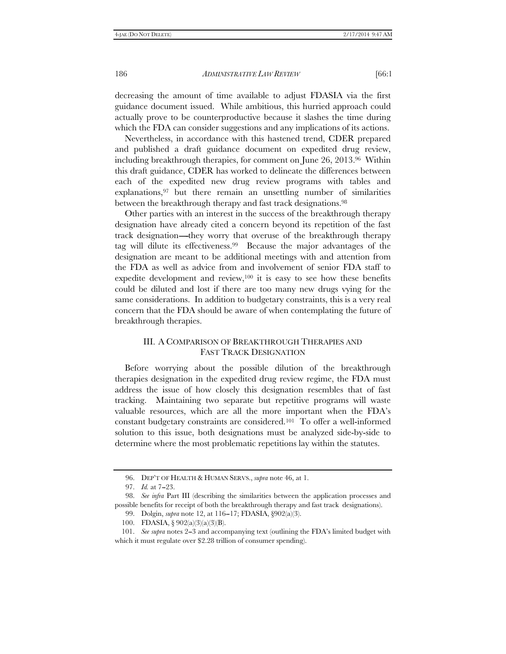decreasing the amount of time available to adjust FDASIA via the first guidance document issued. While ambitious, this hurried approach could actually prove to be counterproductive because it slashes the time during which the FDA can consider suggestions and any implications of its actions.

Nevertheless, in accordance with this hastened trend, CDER prepared and published a draft guidance document on expedited drug review, including breakthrough therapies, for comment on June 26, 2013.96 Within this draft guidance, CDER has worked to delineate the differences between each of the expedited new drug review programs with tables and  $explanations, <sup>97</sup>$  but there remain an unsettling number of similarities between the breakthrough therapy and fast track designations.98

Other parties with an interest in the success of the breakthrough therapy designation have already cited a concern beyond its repetition of the fast track designation----they worry that overuse of the breakthrough therapy tag will dilute its effectiveness.99 Because the major advantages of the designation are meant to be additional meetings with and attention from the FDA as well as advice from and involvement of senior FDA staff to expedite development and review,100 it is easy to see how these benefits could be diluted and lost if there are too many new drugs vying for the same considerations. In addition to budgetary constraints, this is a very real concern that the FDA should be aware of when contemplating the future of breakthrough therapies.

# III. A COMPARISON OF BREAKTHROUGH THERAPIES AND FAST TRACK DESIGNATION

Before worrying about the possible dilution of the breakthrough therapies designation in the expedited drug review regime, the FDA must address the issue of how closely this designation resembles that of fast tracking. Maintaining two separate but repetitive programs will waste valuable resources, which are all the more important when the FDA's constant budgetary constraints are considered.101 To offer a well-informed solution to this issue, both designations must be analyzed side-by-side to determine where the most problematic repetitions lay within the statutes.

 <sup>96.</sup> DEP'T OF HEALTH & HUMAN SERVS., *supra* note 46, at 1.

<sup>97.</sup> *Id.* at 7-23.

 <sup>98.</sup> *See infra* Part III (describing the similarities between the application processes and possible benefits for receipt of both the breakthrough therapy and fast track designations).

 <sup>99.</sup> Dolgin, *supra* note 12, at 116--17; FDASIA, §902(a)(3).

 <sup>100.</sup> FDASIA, § 902(a)(3)(a)(3)(B).

 <sup>101.</sup> *See supra* notes 2--3 and accompanying text (outlining the FDA's limited budget with which it must regulate over \$2.28 trillion of consumer spending).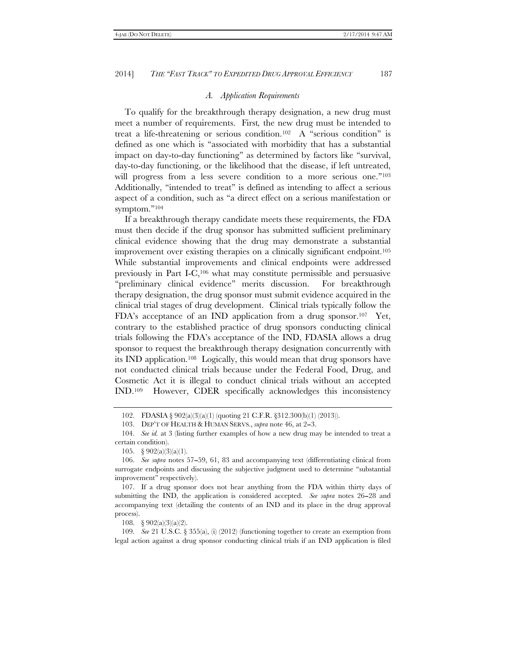#### *A. Application Requirements*

To qualify for the breakthrough therapy designation, a new drug must meet a number of requirements. First*,* the new drug must be intended to treat a life-threatening or serious condition.<sup>102</sup> A "serious condition" is defined as one which is ''associated with morbidity that has a substantial impact on day-to-day functioning'' as determined by factors like ''survival, day-to-day functioning, or the likelihood that the disease, if left untreated, will progress from a less severe condition to a more serious one."<sup>103</sup> Additionally, ''intended to treat'' is defined as intending to affect a serious aspect of a condition, such as ''a direct effect on a serious manifestation or symptom."<sup>104</sup>

If a breakthrough therapy candidate meets these requirements, the FDA must then decide if the drug sponsor has submitted sufficient preliminary clinical evidence showing that the drug may demonstrate a substantial improvement over existing therapies on a clinically significant endpoint.105 While substantial improvements and clinical endpoints were addressed previously in Part I-C,106 what may constitute permissible and persuasive "preliminary clinical evidence" merits discussion. For breakthrough therapy designation, the drug sponsor must submit evidence acquired in the clinical trial stages of drug development. Clinical trials typically follow the FDA's acceptance of an IND application from a drug sponsor.107 Yet, contrary to the established practice of drug sponsors conducting clinical trials following the FDA's acceptance of the IND, FDASIA allows a drug sponsor to request the breakthrough therapy designation concurrently with its IND application.108 Logically, this would mean that drug sponsors have not conducted clinical trials because under the Federal Food, Drug, and Cosmetic Act it is illegal to conduct clinical trials without an accepted IND.109 However, CDER specifically acknowledges this inconsistency

108. § 902(a)(3)(a)(2).

 109. *See* 21 U.S.C. § 355(a), (i) (2012) (functioning together to create an exemption from legal action against a drug sponsor conducting clinical trials if an IND application is filed

<sup>102.</sup> FDASIA § 902(a)(3)(a)(1) (quoting 21 C.F.R. §312.300(b)(1) (2013)).

 <sup>103.</sup> DEP'T OF HEALTH & HUMAN SERVS., *supra* note 46, at 2--3.

 <sup>104.</sup> *See id.* at 3 (listing further examples of how a new drug may be intended to treat a certain condition).

 <sup>105. § 902(</sup>a)(3)(a)(1).

 <sup>106.</sup> *See supra* notes 57--59, 61, 83 and accompanying text (differentiating clinical from surrogate endpoints and discussing the subjective judgment used to determine ''substantial improvement'' respectively).

 <sup>107.</sup> If a drug sponsor does not hear anything from the FDA within thirty days of submitting the IND, the application is considered accepted. *See supra* notes 26–28 and accompanying text (detailing the contents of an IND and its place in the drug approval process).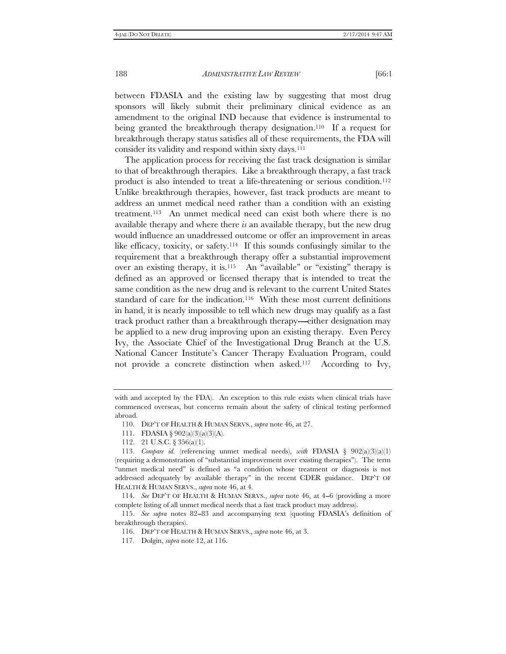between FDASIA and the existing law by suggesting that most drug sponsors will likely submit their preliminary clinical evidence as an amendment to the original IND because that evidence is instrumental to being granted the breakthrough therapy designation.110 If a request for breakthrough therapy status satisfies all of these requirements, the FDA will consider its validity and respond within sixty days.111

The application process for receiving the fast track designation is similar to that of breakthrough therapies. Like a breakthrough therapy, a fast track product is also intended to treat a life-threatening or serious condition.<sup>112</sup> Unlike breakthrough therapies, however, fast track products are meant to address an unmet medical need rather than a condition with an existing treatment.113 An unmet medical need can exist both where there is no available therapy and where there *is* an available therapy, but the new drug would influence an unaddressed outcome or offer an improvement in areas like efficacy, toxicity, or safety.114 If this sounds confusingly similar to the requirement that a breakthrough therapy offer a substantial improvement over an existing therapy, it is.<sup>115</sup> An "available" or "existing" therapy is defined as an approved or licensed therapy that is intended to treat the same condition as the new drug and is relevant to the current United States standard of care for the indication.<sup>116</sup> With these most current definitions in hand, it is nearly impossible to tell which new drugs may qualify as a fast track product rather than a breakthrough therapy—either designation may be applied to a new drug improving upon an existing therapy. Even Percy Ivy, the Associate Chief of the Investigational Drug Branch at the U.S. National Cancer Institute's Cancer Therapy Evaluation Program, could not provide a concrete distinction when asked.117 According to Ivy,

with and accepted by the FDA). An exception to this rule exists when clinical trials have commenced overseas, but concerns remain about the safety of clinical testing performed abroad.

 <sup>110.</sup> DEP'T OF HEALTH & HUMAN SERVS., *supra* note 46, at 27.

 <sup>111.</sup> FDASIA § 902(a)(3)(a)(3)(A).

 <sup>112. 21</sup> U.S.C. § 356(a)(1).

<sup>113.</sup> *Compare id.* (referencing unmet medical needs), *with* FDASIA § 902(a)(3)(a)(1) (requiring a demonstration of ''substantial improvement over existing therapies''). The term ''unmet medical need'' is defined as ''a condition whose treatment or diagnosis is not addressed adequately by available therapy'' in the recent CDER guidance. DEP'T OF HEALTH & HUMAN SERVS., *supra* note 46, at 4.

 <sup>114.</sup> *See* DEP'T OF HEALTH & HUMAN SERVS., *supra* note 46, at 4--6 (providing a more complete listing of all unmet medical needs that a fast track product may address).

 <sup>115.</sup> *See supra* notes 82--83 and accompanying text (quoting FDASIA's definition of breakthrough therapies).

 <sup>116.</sup> DEP'T OF HEALTH & HUMAN SERVS., *supra* note 46, at 3.

 <sup>117.</sup> Dolgin, *supra* note 12, at 116.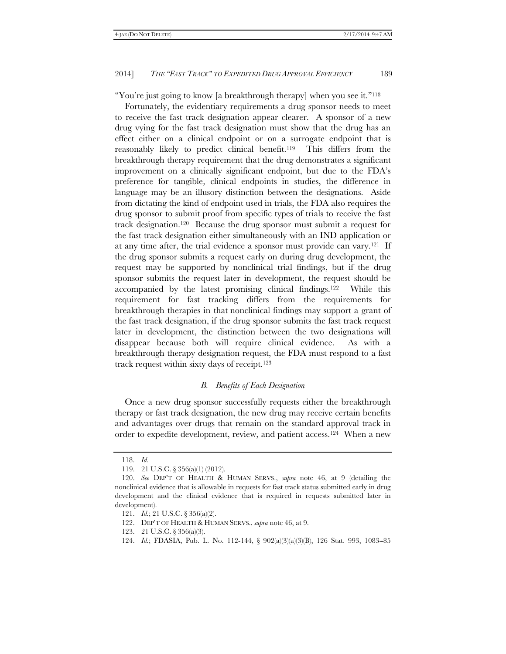"You're just going to know [a breakthrough therapy] when you see it."<sup>118</sup>

Fortunately, the evidentiary requirements a drug sponsor needs to meet to receive the fast track designation appear clearer. A sponsor of a new drug vying for the fast track designation must show that the drug has an effect either on a clinical endpoint or on a surrogate endpoint that is reasonably likely to predict clinical benefit.119 This differs from the breakthrough therapy requirement that the drug demonstrates a significant improvement on a clinically significant endpoint, but due to the FDA's preference for tangible, clinical endpoints in studies, the difference in language may be an illusory distinction between the designations. Aside from dictating the kind of endpoint used in trials, the FDA also requires the drug sponsor to submit proof from specific types of trials to receive the fast track designation.120 Because the drug sponsor must submit a request for the fast track designation either simultaneously with an IND application or at any time after, the trial evidence a sponsor must provide can vary.<sup>121</sup> If the drug sponsor submits a request early on during drug development, the request may be supported by nonclinical trial findings, but if the drug sponsor submits the request later in development, the request should be accompanied by the latest promising clinical findings.122 While this requirement for fast tracking differs from the requirements for breakthrough therapies in that nonclinical findings may support a grant of the fast track designation, if the drug sponsor submits the fast track request later in development, the distinction between the two designations will disappear because both will require clinical evidence. As with a breakthrough therapy designation request, the FDA must respond to a fast track request within sixty days of receipt.123

#### *B. Benefits of Each Designation*

Once a new drug sponsor successfully requests either the breakthrough therapy or fast track designation, the new drug may receive certain benefits and advantages over drugs that remain on the standard approval track in order to expedite development, review, and patient access.124 When a new

 <sup>118.</sup> *Id.* 

 <sup>119. 21</sup> U.S.C. § 356(a)(1) (2012).

 <sup>120.</sup> *See* DEP'T OF HEALTH & HUMAN SERVS., *supra* note 46, at 9 (detailing the nonclinical evidence that is allowable in requests for fast track status submitted early in drug development and the clinical evidence that is required in requests submitted later in development).

 <sup>121.</sup> *Id.*; 21 U.S.C. § 356(a)(2).

 <sup>122.</sup> DEP'T OF HEALTH & HUMAN SERVS., *supra* note 46, at 9.

 <sup>123. 21</sup> U.S.C. § 356(a)(3).

<sup>124.</sup> *Id.*; FDASIA, Pub. L. No. 112-144, § 902(a)(3)(a)(3)(B), 126 Stat. 993, 1083–85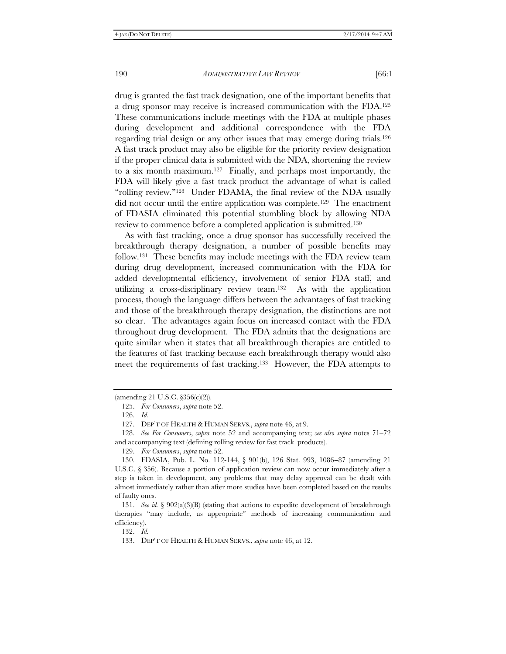drug is granted the fast track designation, one of the important benefits that a drug sponsor may receive is increased communication with the FDA.125 These communications include meetings with the FDA at multiple phases during development and additional correspondence with the FDA regarding trial design or any other issues that may emerge during trials.126 A fast track product may also be eligible for the priority review designation if the proper clinical data is submitted with the NDA, shortening the review to a six month maximum.127 Finally, and perhaps most importantly, the FDA will likely give a fast track product the advantage of what is called ''rolling review.''128 Under FDAMA, the final review of the NDA usually did not occur until the entire application was complete.129 The enactment of FDASIA eliminated this potential stumbling block by allowing NDA review to commence before a completed application is submitted.130

As with fast tracking, once a drug sponsor has successfully received the breakthrough therapy designation, a number of possible benefits may follow.131 These benefits may include meetings with the FDA review team during drug development, increased communication with the FDA for added developmental efficiency, involvement of senior FDA staff, and utilizing a cross-disciplinary review team.132 As with the application process, though the language differs between the advantages of fast tracking and those of the breakthrough therapy designation, the distinctions are not so clear. The advantages again focus on increased contact with the FDA throughout drug development. The FDA admits that the designations are quite similar when it states that all breakthrough therapies are entitled to the features of fast tracking because each breakthrough therapy would also meet the requirements of fast tracking.<sup>133</sup> However, the FDA attempts to

132. *Id.*

<sup>(</sup>amending 21 U.S.C. §356(c)(2)).

 <sup>125.</sup> *For Consumers*, *supra* note 52.

 <sup>126.</sup> *Id.*

 <sup>127.</sup> DEP'T OF HEALTH & HUMAN SERVS., *supra* note 46, at 9.

 <sup>128.</sup> *See For Consumers*, *supra* note 52 and accompanying text; *see also supra* notes 71–72 and accompanying text (defining rolling review for fast track products).

 <sup>129.</sup> *For Consumers*, *supra* note 52.

<sup>130.</sup> FDASIA, Pub. L. No. 112-144, § 901(b), 126 Stat. 993, 1086–87 (amending 21 U.S.C. § 356). Because a portion of application review can now occur immediately after a step is taken in development, any problems that may delay approval can be dealt with almost immediately rather than after more studies have been completed based on the results of faulty ones.

 <sup>131.</sup> *See id.* § 902(a)(3)(B) (stating that actions to expedite development of breakthrough therapies ''may include, as appropriate'' methods of increasing communication and efficiency).

 <sup>133.</sup> DEP'T OF HEALTH & HUMAN SERVS., *supra* note 46, at 12.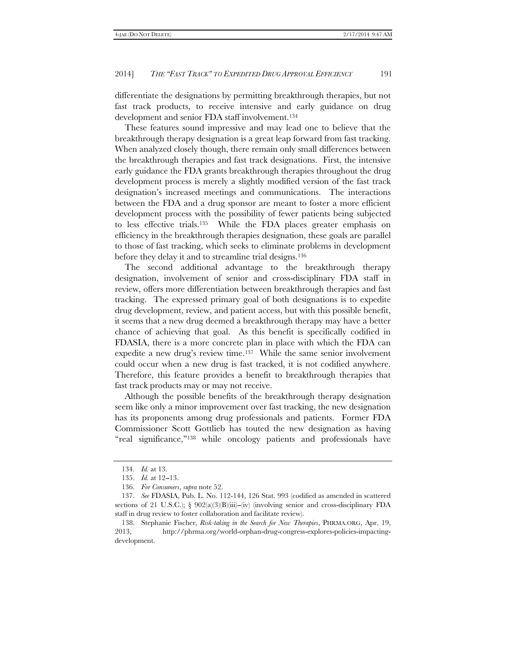differentiate the designations by permitting breakthrough therapies, but not fast track products, to receive intensive and early guidance on drug development and senior FDA staff involvement.134

These features sound impressive and may lead one to believe that the breakthrough therapy designation is a great leap forward from fast tracking. When analyzed closely though, there remain only small differences between the breakthrough therapies and fast track designations. First, the intensive early guidance the FDA grants breakthrough therapies throughout the drug development process is merely a slightly modified version of the fast track designation's increased meetings and communications. The interactions between the FDA and a drug sponsor are meant to foster a more efficient development process with the possibility of fewer patients being subjected to less effective trials.135 While the FDA places greater emphasis on efficiency in the breakthrough therapies designation, these goals are parallel to those of fast tracking, which seeks to eliminate problems in development before they delay it and to streamline trial designs.136

The second additional advantage to the breakthrough therapy designation, involvement of senior and cross-disciplinary FDA staff in review, offers more differentiation between breakthrough therapies and fast tracking. The expressed primary goal of both designations is to expedite drug development, review, and patient access, but with this possible benefit, it seems that a new drug deemed a breakthrough therapy may have a better chance of achieving that goal. As this benefit is specifically codified in FDASIA, there is a more concrete plan in place with which the FDA can expedite a new drug's review time.137 While the same senior involvement could occur when a new drug is fast tracked, it is not codified anywhere. Therefore, this feature provides a benefit to breakthrough therapies that fast track products may or may not receive.

Although the possible benefits of the breakthrough therapy designation seem like only a minor improvement over fast tracking, the new designation has its proponents among drug professionals and patients. Former FDA Commissioner Scott Gottlieb has touted the new designation as having "real significance,"<sup>138</sup> while oncology patients and professionals have

 <sup>134.</sup> *Id.* at 13.

<sup>135.</sup> *Id.* at 12-13.

 <sup>136.</sup> *For Consumers*, *supra* note 52.

 <sup>137.</sup> *See* FDASIA, Pub. L. No. 112-144, 126 Stat. 993 (codified as amended in scattered sections of 21 U.S.C.);  $\S$  902(a)(3)(B)(iii)-(iv) (involving senior and cross-disciplinary FDA staff in drug review to foster collaboration and facilitate review).

 <sup>138.</sup> Stephanie Fischer, *Risk-taking in the Search for New Therapies*, PHRMA.ORG, Apr. 19, 2013, http://phrma.org/world-orphan-drug-congress-explores-policies-impactingdevelopment.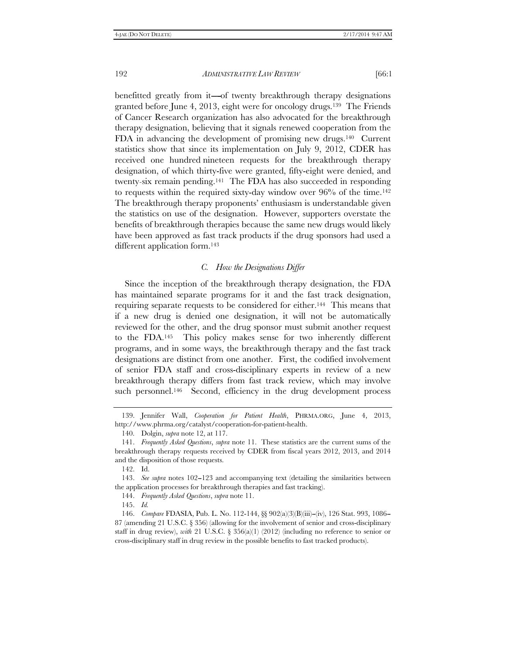benefitted greatly from it—of twenty breakthrough therapy designations granted before June 4, 2013, eight were for oncology drugs.139 The Friends of Cancer Research organization has also advocated for the breakthrough therapy designation, believing that it signals renewed cooperation from the FDA in advancing the development of promising new drugs.140 Current statistics show that since its implementation on July 9, 2012, CDER has received one hundred nineteen requests for the breakthrough therapy designation, of which thirty-five were granted, fifty-eight were denied, and twenty-six remain pending.141 The FDA has also succeeded in responding to requests within the required sixty-day window over  $96%$  of the time.<sup>142</sup> The breakthrough therapy proponents' enthusiasm is understandable given the statistics on use of the designation. However, supporters overstate the benefits of breakthrough therapies because the same new drugs would likely have been approved as fast track products if the drug sponsors had used a different application form.<sup>143</sup>

### *C. How the Designations Differ*

Since the inception of the breakthrough therapy designation, the FDA has maintained separate programs for it and the fast track designation, requiring separate requests to be considered for either.144 This means that if a new drug is denied one designation, it will not be automatically reviewed for the other, and the drug sponsor must submit another request to the FDA.145 This policy makes sense for two inherently different programs, and in some ways, the breakthrough therapy and the fast track designations are distinct from one another. First, the codified involvement of senior FDA staff and cross-disciplinary experts in review of a new breakthrough therapy differs from fast track review, which may involve such personnel.<sup>146</sup> Second, efficiency in the drug development process

 <sup>139.</sup> Jennifer Wall, *Cooperation for Patient Health*, PHRMA.ORG, June 4, 2013, http://www.phrma.org/catalyst/cooperation-for-patient-health.

 <sup>140.</sup> Dolgin, *supra* note 12, at 117.

 <sup>141.</sup> *Frequently Asked Questions*, *supra* note 11. These statistics are the current sums of the breakthrough therapy requests received by CDER from fiscal years 2012, 2013, and 2014 and the disposition of those requests.

 <sup>142.</sup> Id.

<sup>143.</sup> *See supra* notes 102-123 and accompanying text (detailing the similarities between the application processes for breakthrough therapies and fast tracking).

 <sup>144.</sup> *Frequently Asked Questions*, *supra* note 11.

 <sup>145.</sup> *Id.* 

 <sup>146.</sup> *Compare* FDASIA, Pub. L. No. 112-144, §§ 902(a)(3)(B)(iii)--(iv), 126 Stat. 993, 1086-- 87 (amending 21 U.S.C. § 356) (allowing for the involvement of senior and cross-disciplinary staff in drug review), *with* 21 U.S.C. § 356(a)(1) (2012) (including no reference to senior or cross-disciplinary staff in drug review in the possible benefits to fast tracked products).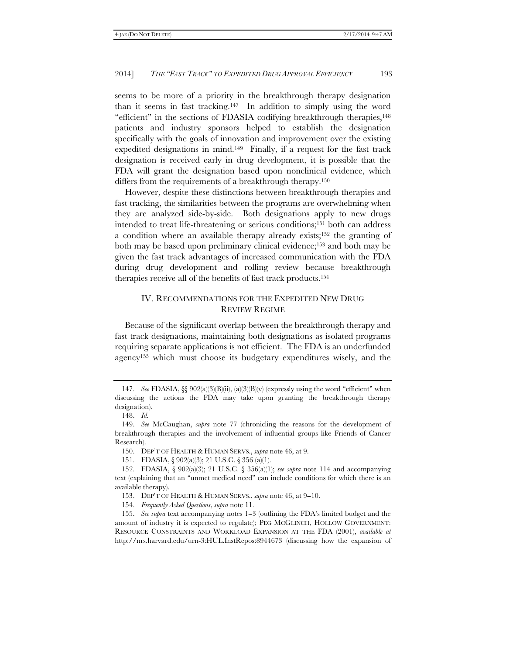seems to be more of a priority in the breakthrough therapy designation than it seems in fast tracking.147 In addition to simply using the word "efficient" in the sections of FDASIA codifying breakthrough therapies,<sup>148</sup> patients and industry sponsors helped to establish the designation specifically with the goals of innovation and improvement over the existing expedited designations in mind.149 Finally, if a request for the fast track designation is received early in drug development, it is possible that the FDA will grant the designation based upon nonclinical evidence, which differs from the requirements of a breakthrough therapy.150

However, despite these distinctions between breakthrough therapies and fast tracking, the similarities between the programs are overwhelming when they are analyzed side-by-side. Both designations apply to new drugs intended to treat life-threatening or serious conditions;151 both can address a condition where an available therapy already exists;152 the granting of both may be based upon preliminary clinical evidence;153 and both may be given the fast track advantages of increased communication with the FDA during drug development and rolling review because breakthrough therapies receive all of the benefits of fast track products.154

# IV. RECOMMENDATIONS FOR THE EXPEDITED NEW DRUG REVIEW REGIME

Because of the significant overlap between the breakthrough therapy and fast track designations, maintaining both designations as isolated programs requiring separate applications is not efficient. The FDA is an underfunded agency155 which must choose its budgetary expenditures wisely, and the

 <sup>147.</sup> *See* FDASIA, §§ 902(a)(3)(B)(ii), (a)(3)(B)(v) (expressly using the word ''efficient'' when discussing the actions the FDA may take upon granting the breakthrough therapy designation).

 <sup>148.</sup> *Id.*

 <sup>149.</sup> *See* McCaughan, *supra* note 77 (chronicling the reasons for the development of breakthrough therapies and the involvement of influential groups like Friends of Cancer Research).

 <sup>150.</sup> DEP'T OF HEALTH & HUMAN SERVS., *supra* note 46, at 9.

 <sup>151.</sup> FDASIA, § 902(a)(3); 21 U.S.C. § 356 (a)(1).

 <sup>152.</sup> FDASIA, § 902(a)(3); 21 U.S.C. § 356(a)(1); *see supra* note 114 and accompanying text (explaining that an ''unmet medical need'' can include conditions for which there is an available therapy).

<sup>153.</sup> DEP'T OF HEALTH & HUMAN SERVS., *supra* note 46, at 9-10.

 <sup>154.</sup> *Frequently Asked Questions*, *supra* note 11.

<sup>155.</sup> See supra text accompanying notes 1-3 (outlining the FDA's limited budget and the amount of industry it is expected to regulate); PEG MCGLINCH, HOLLOW GOVERNMENT: RESOURCE CONSTRAINTS AND WORKLOAD EXPANSION AT THE FDA (2001), *available at*  http://nrs.harvard.edu/urn-3:HUL.InstRepos:8944673 (discussing how the expansion of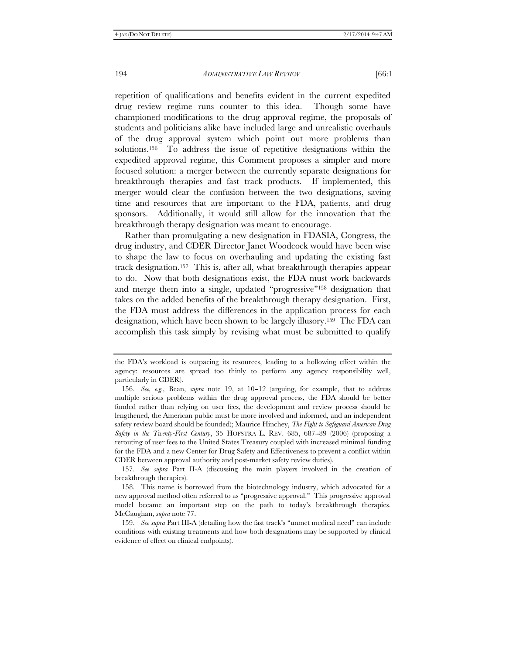repetition of qualifications and benefits evident in the current expedited drug review regime runs counter to this idea. Though some have championed modifications to the drug approval regime, the proposals of students and politicians alike have included large and unrealistic overhauls of the drug approval system which point out more problems than solutions.156 To address the issue of repetitive designations within the expedited approval regime, this Comment proposes a simpler and more focused solution: a merger between the currently separate designations for breakthrough therapies and fast track products. If implemented, this merger would clear the confusion between the two designations, saving time and resources that are important to the FDA, patients, and drug sponsors. Additionally, it would still allow for the innovation that the breakthrough therapy designation was meant to encourage.

Rather than promulgating a new designation in FDASIA, Congress, the drug industry, and CDER Director Janet Woodcock would have been wise to shape the law to focus on overhauling and updating the existing fast track designation.157 This is, after all, what breakthrough therapies appear to do. Now that both designations exist, the FDA must work backwards and merge them into a single, updated ''progressive''158 designation that takes on the added benefits of the breakthrough therapy designation. First, the FDA must address the differences in the application process for each designation, which have been shown to be largely illusory.159 The FDA can accomplish this task simply by revising what must be submitted to qualify

the FDA's workload is outpacing its resources, leading to a hollowing effect within the agency: resources are spread too thinly to perform any agency responsibility well, particularly in CDER).

<sup>156.</sup> *See, e.g.*, Bean, *supra* note 19, at 10-12 (arguing, for example, that to address multiple serious problems within the drug approval process, the FDA should be better funded rather than relying on user fees, the development and review process should be lengthened, the American public must be more involved and informed, and an independent safety review board should be founded); Maurice Hinchey, *The Fight to Safeguard American Drug Safety in the Twenty-First Century*, 35 HOFSTRA L. REV. 685, 687–89 (2006) (proposing a rerouting of user fees to the United States Treasury coupled with increased minimal funding for the FDA and a new Center for Drug Safety and Effectiveness to prevent a conflict within CDER between approval authority and post-market safety review duties).

 <sup>157.</sup> *See supra* Part II-A (discussing the main players involved in the creation of breakthrough therapies).

 <sup>158.</sup> This name is borrowed from the biotechnology industry, which advocated for a new approval method often referred to as ''progressive approval.'' This progressive approval model became an important step on the path to today's breakthrough therapies. McCaughan, *supra* note 77.

 <sup>159.</sup> *See supra* Part III-A (detailing how the fast track's ''unmet medical need'' can include conditions with existing treatments and how both designations may be supported by clinical evidence of effect on clinical endpoints).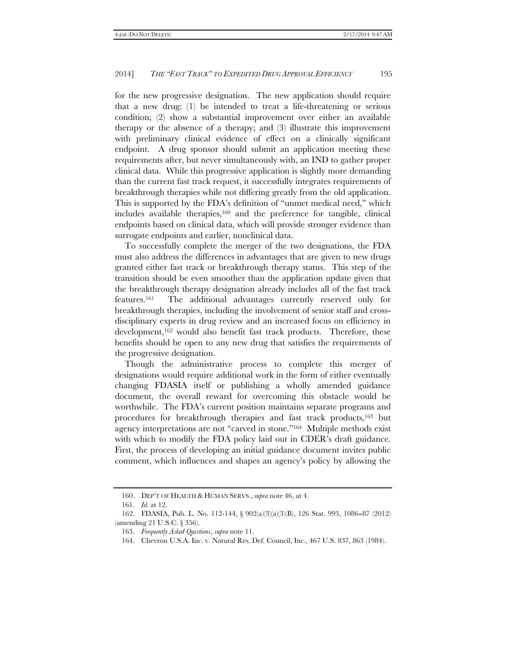for the new progressive designation. The new application should require that a new drug: (1) be intended to treat a life-threatening or serious condition; (2) show a substantial improvement over either an available therapy or the absence of a therapy; and (3) illustrate this improvement with preliminary clinical evidence of effect on a clinically significant endpoint. A drug sponsor should submit an application meeting these requirements after, but never simultaneously with, an IND to gather proper clinical data. While this progressive application is slightly more demanding than the current fast track request, it successfully integrates requirements of breakthrough therapies while not differing greatly from the old application. This is supported by the FDA's definition of "unmet medical need," which includes available therapies,160 and the preference for tangible, clinical endpoints based on clinical data, which will provide stronger evidence than surrogate endpoints and earlier, nonclinical data.

To successfully complete the merger of the two designations, the FDA must also address the differences in advantages that are given to new drugs granted either fast track or breakthrough therapy status. This step of the transition should be even smoother than the application update given that the breakthrough therapy designation already includes all of the fast track features.161 The additional advantages currently reserved only for breakthrough therapies, including the involvement of senior staff and crossdisciplinary experts in drug review and an increased focus on efficiency in development,<sup>162</sup> would also benefit fast track products. Therefore, these benefits should be open to any new drug that satisfies the requirements of the progressive designation.

Though the administrative process to complete this merger of designations would require additional work in the form of either eventually changing FDASIA itself or publishing a wholly amended guidance document, the overall reward for overcoming this obstacle would be worthwhile. The FDA's current position maintains separate programs and procedures for breakthrough therapies and fast track products,163 but agency interpretations are not ''carved in stone.''164 Multiple methods exist with which to modify the FDA policy laid out in CDER's draft guidance. First, the process of developing an initial guidance document invites public comment, which influences and shapes an agency's policy by allowing the

 <sup>160.</sup> DEP'T OF HEALTH & HUMAN SERVS., *supra* note 46, at 4.

 <sup>161.</sup> *Id.* at 12.

<sup>162.</sup> FDASIA, Pub. L. No. 112-144, § 902(a)(3)(a)(3)(B), 126 Stat. 993, 1086-87 (2012) (amending 21 U.S.C. § 356).

 <sup>163.</sup> *Frequently Asked Questions*, *supra* note 11.

 <sup>164.</sup> Chevron U.S.A. Inc. v. Natural Res. Def. Council, Inc., 467 U.S. 837, 863 (1984).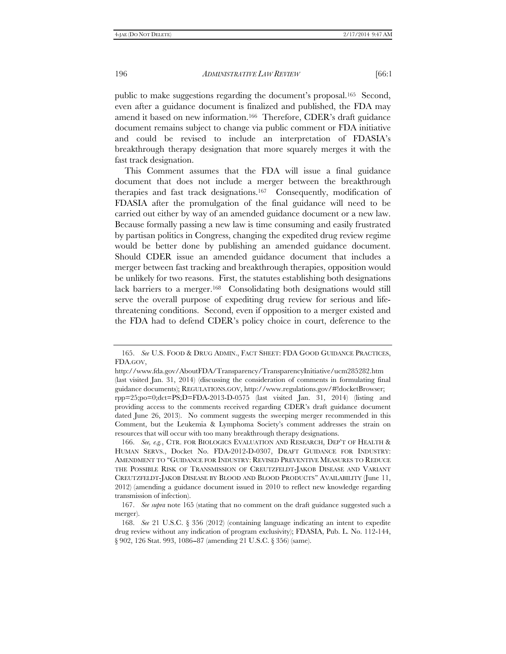public to make suggestions regarding the document's proposal.165 Second, even after a guidance document is finalized and published, the FDA may amend it based on new information.166 Therefore, CDER's draft guidance document remains subject to change via public comment or FDA initiative and could be revised to include an interpretation of FDASIA's breakthrough therapy designation that more squarely merges it with the fast track designation.

This Comment assumes that the FDA will issue a final guidance document that does not include a merger between the breakthrough therapies and fast track designations.167 Consequently, modification of FDASIA after the promulgation of the final guidance will need to be carried out either by way of an amended guidance document or a new law. Because formally passing a new law is time consuming and easily frustrated by partisan politics in Congress, changing the expedited drug review regime would be better done by publishing an amended guidance document. Should CDER issue an amended guidance document that includes a merger between fast tracking and breakthrough therapies, opposition would be unlikely for two reasons. First, the statutes establishing both designations lack barriers to a merger.<sup>168</sup> Consolidating both designations would still serve the overall purpose of expediting drug review for serious and lifethreatening conditions. Second, even if opposition to a merger existed and the FDA had to defend CDER's policy choice in court, deference to the

 166. *See, e.g.*, CTR. FOR BIOLOGICS EVALUATION AND RESEARCH, DEP'T OF HEALTH & HUMAN SERVS., Docket No. FDA-2012-D-0307, DRAFT GUIDANCE FOR INDUSTRY: AMENDMENT TO ''GUIDANCE FOR INDUSTRY: REVISED PREVENTIVE MEASURES TO REDUCE THE POSSIBLE RISK OF TRANSMISSION OF CREUTZFELDT-JAKOB DISEASE AND VARIANT CREUTZFELDT-JAKOB DISEASE BY BLOOD AND BLOOD PRODUCTS'' AVAILABILITY (June 11, 2012) (amending a guidance document issued in 2010 to reflect new knowledge regarding transmission of infection).

 167. *See supra* note 165 (stating that no comment on the draft guidance suggested such a merger).

 <sup>165.</sup> *See* U.S. FOOD & DRUG ADMIN., FACT SHEET: FDA GOOD GUIDANCE PRACTICES, FDA.GOV,

http://www.fda.gov/AboutFDA/Transparency/TransparencyInitiative/ucm285282.htm (last visited Jan. 31, 2014) (discussing the consideration of comments in formulating final guidance documents); REGULATIONS.GOV, http://www.regulations.gov/#!docketBrowser; rpp=25;po=0;dct=PS;D=FDA-2013-D-0575 (last visited Jan. 31, 2014) (listing and providing access to the comments received regarding CDER's draft guidance document dated June 26, 2013). No comment suggests the sweeping merger recommended in this Comment, but the Leukemia & Lymphoma Society's comment addresses the strain on resources that will occur with too many breakthrough therapy designations.

 <sup>168.</sup> *See* 21 U.S.C. § 356 (2012) (containing language indicating an intent to expedite drug review without any indication of program exclusivity); FDASIA, Pub. L. No. 112-144, § 902, 126 Stat. 993, 1086-87 (amending 21 U.S.C. § 356) (same).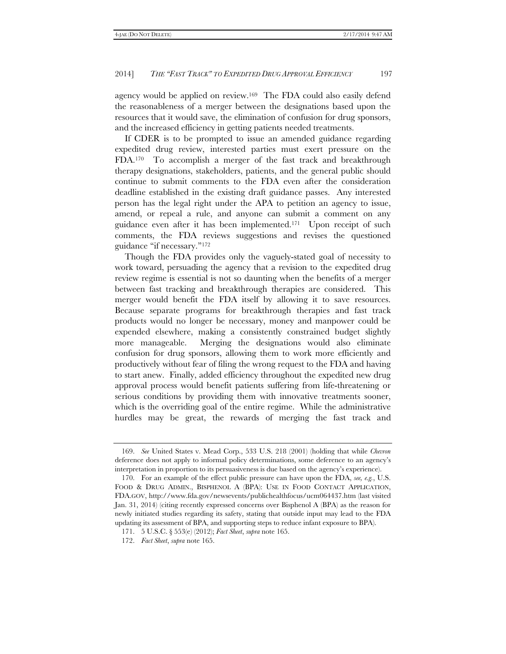agency would be applied on review.169 The FDA could also easily defend the reasonableness of a merger between the designations based upon the resources that it would save, the elimination of confusion for drug sponsors, and the increased efficiency in getting patients needed treatments.

If CDER is to be prompted to issue an amended guidance regarding expedited drug review, interested parties must exert pressure on the FDA.170 To accomplish a merger of the fast track and breakthrough therapy designations, stakeholders, patients, and the general public should continue to submit comments to the FDA even after the consideration deadline established in the existing draft guidance passes. Any interested person has the legal right under the APA to petition an agency to issue, amend, or repeal a rule, and anyone can submit a comment on any guidance even after it has been implemented.171 Upon receipt of such comments, the FDA reviews suggestions and revises the questioned guidance ''if necessary.''172

Though the FDA provides only the vaguely-stated goal of necessity to work toward, persuading the agency that a revision to the expedited drug review regime is essential is not so daunting when the benefits of a merger between fast tracking and breakthrough therapies are considered. This merger would benefit the FDA itself by allowing it to save resources. Because separate programs for breakthrough therapies and fast track products would no longer be necessary, money and manpower could be expended elsewhere, making a consistently constrained budget slightly more manageable. Merging the designations would also eliminate confusion for drug sponsors, allowing them to work more efficiently and productively without fear of filing the wrong request to the FDA and having to start anew. Finally, added efficiency throughout the expedited new drug approval process would benefit patients suffering from life-threatening or serious conditions by providing them with innovative treatments sooner, which is the overriding goal of the entire regime. While the administrative hurdles may be great, the rewards of merging the fast track and

 <sup>169.</sup> *See* United States v. Mead Corp., 533 U.S. 218 (2001) (holding that while *Chevron*  deference does not apply to informal policy determinations, some deference to an agency's interpretation in proportion to its persuasiveness is due based on the agency's experience).

 <sup>170.</sup> For an example of the effect public pressure can have upon the FDA, *see, e.g.*, U.S. FOOD & DRUG ADMIN., BISPHENOL A (BPA): USE IN FOOD CONTACT APPLICATION, FDA.GOV, http://www.fda.gov/newsevents/publichealthfocus/ucm064437.htm (last visited Jan. 31, 2014) (citing recently expressed concerns over Bisphenol A (BPA) as the reason for newly initiated studies regarding its safety, stating that outside input may lead to the FDA updating its assessment of BPA, and supporting steps to reduce infant exposure to BPA).

 <sup>171. 5</sup> U.S.C. § 553(e) (2012); *Fact Sheet*, *supra* note 165.

 <sup>172.</sup> *Fact Sheet*, *supra* note 165.